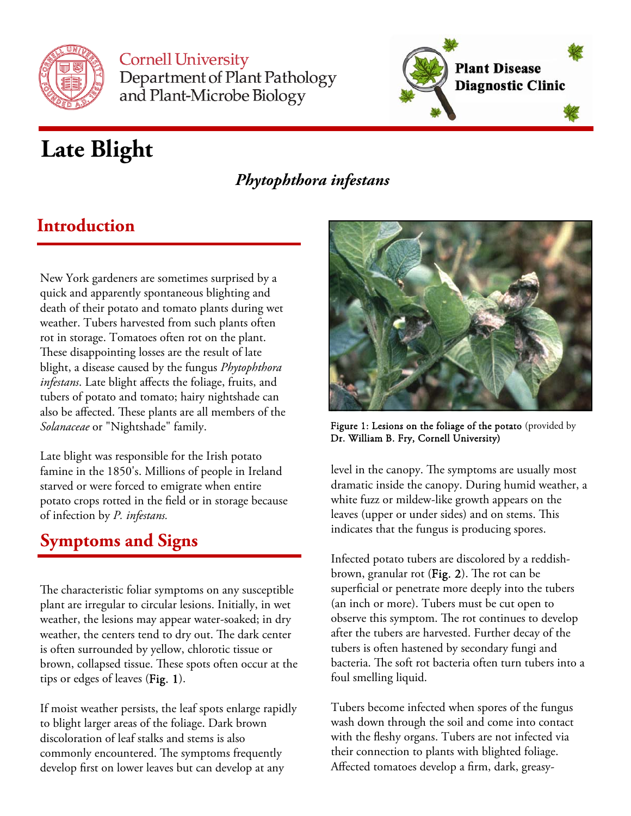

**Cornell University** Department of Plant Pathology and Plant-Microbe Biology



# **Late Blight**

### *Phytophthora infestans*

### **Introduction**

New York gardeners are sometimes surprised by a quick and apparently spontaneous blighting and death of their potato and tomato plants during wet weather. Tubers harvested from such plants often rot in storage. Tomatoes often rot on the plant. These disappointing losses are the result of late blight, a disease caused by the fungus *Phytophthora infestans*. Late blight affects the foliage, fruits, and tubers of potato and tomato; hairy nightshade can also be affected. These plants are all members of the *Solanaceae* or "Nightshade" family.

Late blight was responsible for the Irish potato famine in the 1850's. Millions of people in Ireland starved or were forced to emigrate when entire potato crops rotted in the field or in storage because of infection by *P. infestans.* 

### **Symptoms and Signs**

The characteristic foliar symptoms on any susceptible plant are irregular to circular lesions. Initially, in wet weather, the lesions may appear water-soaked; in dry weather, the centers tend to dry out. The dark center is often surrounded by yellow, chlorotic tissue or brown, collapsed tissue. These spots often occur at the tips or edges of leaves (Fig. 1).

If moist weather persists, the leaf spots enlarge rapidly to blight larger areas of the foliage. Dark brown discoloration of leaf stalks and stems is also commonly encountered. The symptoms frequently develop first on lower leaves but can develop at any



Figure 1: Lesions on the foliage of the potato (provided by Dr. William B. Fry, Cornell University)

level in the canopy. The symptoms are usually most dramatic inside the canopy. During humid weather, a white fuzz or mildew-like growth appears on the leaves (upper or under sides) and on stems. This indicates that the fungus is producing spores.

Infected potato tubers are discolored by a reddishbrown, granular rot (Fig. 2). The rot can be superficial or penetrate more deeply into the tubers (an inch or more). Tubers must be cut open to observe this symptom. The rot continues to develop after the tubers are harvested. Further decay of the tubers is often hastened by secondary fungi and bacteria. The soft rot bacteria often turn tubers into a foul smelling liquid.

Tubers become infected when spores of the fungus wash down through the soil and come into contact with the fleshy organs. Tubers are not infected via their connection to plants with blighted foliage. Affected tomatoes develop a firm, dark, greasy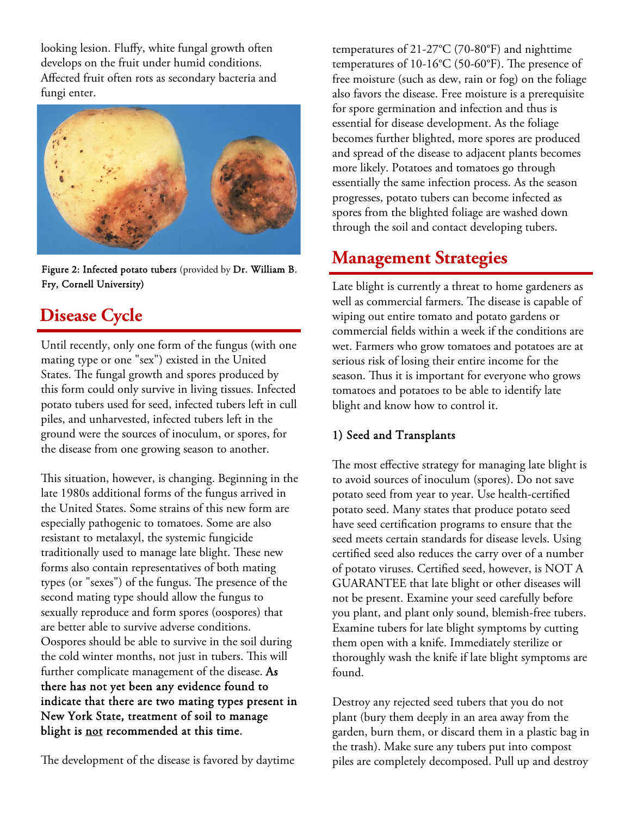looking lesion. Fluffy, white fungal growth often develops on the fruit under humid conditions. Affected fruit often rots as secondary bacteria and fungi enter.



Fry, Cornell University)

### **Disease Cycle**

Until recently, only one form of the fungus (with one mating type or one "sex") existed in the United States. The fungal growth and spores produced by this form could only survive in living tissues. Infected potato tubers used for seed, infected tubers left in cull piles, and unharvested, infected tubers left in the ground were the sources of inoculum, or spores, for the disease from one growing season to another.

This situation, however, is changing. Beginning in the late 1980s additional forms of the fungus arrived in the United States. Some strains of this new form are especially pathogenic to tomatoes. Some are also resistant to metalaxyl, the systemic fungicide traditionally used to manage late blight. These new forms also contain representatives of both mating types (or "sexes") of the fungus. The presence of the second mating type should allow the fungus to sexually reproduce and form spores (oospores) that are better able to survive adverse conditions. Oospores should be able to survive in the soil during the cold winter months, not just in tubers. This will further complicate management of the disease. As there has not yet been any evidence found to indicate that there are two mating types present in New York State, treatment of soil to manage blight is not recommended at this time.

The development of the disease is favored by daytime

temperatures of 21-27°C (70-80°F) and nighttime temperatures of 10-16°C (50-60°F). The presence of free moisture (such as dew, rain or fog) on the foliage also favors the disease. Free moisture is a prerequisite for spore germination and infection and thus is essential for disease development. As the foliage becomes further blighted, more spores are produced and spread of the disease to adjacent plants becomes more likely. Potatoes and tomatoes go through essentially the same infection process. As the season progresses, potato tubers can become infected as spores from the blighted foliage are washed down through the soil and contact developing tubers.

## **Management Strategies** Figure 2: Infected potato tubers (provided by Dr. William B.

Late blight is currently a threat to home gardeners as well as commercial farmers. The disease is capable of wiping out entire tomato and potato gardens or commercial fields within a week if the conditions are wet. Farmers who grow tomatoes and potatoes are at serious risk of losing their entire income for the season. Thus it is important for everyone who grows tomatoes and potatoes to be able to identify late blight and know how to control it.

#### 1) Seed and Transplants

The most effective strategy for managing late blight is to avoid sources of inoculum (spores). Do not save potato seed from year to year. Use health-certified potato seed. Many states that produce potato seed have seed certification programs to ensure that the seed meets certain standards for disease levels. Using certified seed also reduces the carry over of a number of potato viruses. Certified seed, however, is NOT A GUARANTEE that late blight or other diseases will not be present. Examine your seed carefully before you plant, and plant only sound, blemish-free tubers. Examine tubers for late blight symptoms by cutting them open with a knife. Immediately sterilize or thoroughly wash the knife if late blight symptoms are found.

Destroy any rejected seed tubers that you do not plant (bury them deeply in an area away from the garden, burn them, or discard them in a plastic bag in the trash). Make sure any tubers put into compost piles are completely decomposed. Pull up and destroy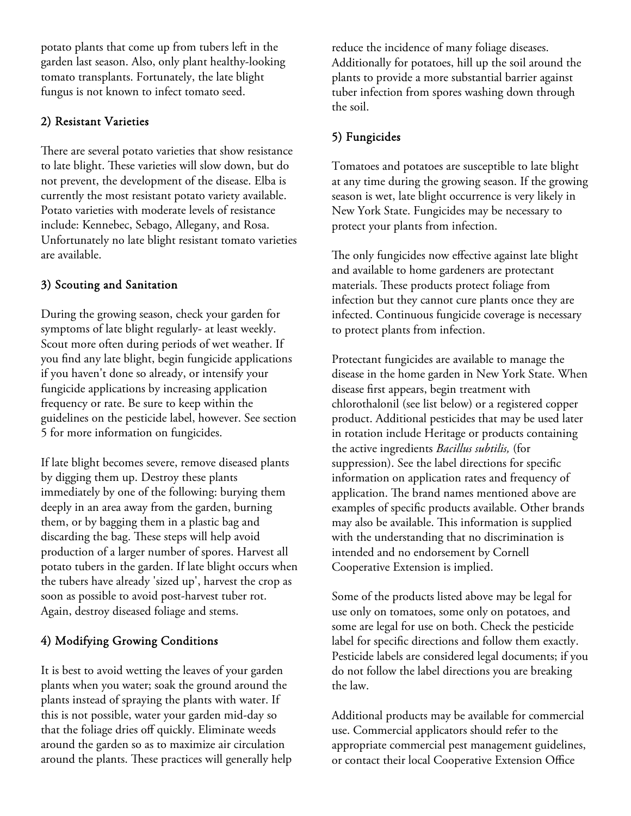potato plants that come up from tubers left in the garden last season. Also, only plant healthy-looking tomato transplants. Fortunately, the late blight fungus is not known to infect tomato seed.

#### 2) Resistant Varieties

There are several potato varieties that show resistance to late blight. These varieties will slow down, but do not prevent, the development of the disease. Elba is currently the most resistant potato variety available. Potato varieties with moderate levels of resistance include: Kennebec, Sebago, Allegany, and Rosa. Unfortunately no late blight resistant tomato varieties are available.

#### 3) Scouting and Sanitation

During the growing season, check your garden for symptoms of late blight regularly- at least weekly. Scout more often during periods of wet weather. If you find any late blight, begin fungicide applications if you haven't done so already, or intensify your fungicide applications by increasing application frequency or rate. Be sure to keep within the guidelines on the pesticide label, however. See section 5 for more information on fungicides.

If late blight becomes severe, remove diseased plants by digging them up. Destroy these plants immediately by one of the following: burying them deeply in an area away from the garden, burning them, or by bagging them in a plastic bag and discarding the bag. These steps will help avoid production of a larger number of spores. Harvest all potato tubers in the garden. If late blight occurs when the tubers have already 'sized up', harvest the crop as soon as possible to avoid post-harvest tuber rot. Again, destroy diseased foliage and stems.

#### 4) Modifying Growing Conditions

It is best to avoid wetting the leaves of your garden plants when you water; soak the ground around the plants instead of spraying the plants with water. If this is not possible, water your garden mid-day so that the foliage dries off quickly. Eliminate weeds around the garden so as to maximize air circulation around the plants. These practices will generally help

reduce the incidence of many foliage diseases. Additionally for potatoes, hill up the soil around the plants to provide a more substantial barrier against tuber infection from spores washing down through the soil.

#### 5) Fungicides

Tomatoes and potatoes are susceptible to late blight at any time during the growing season. If the growing season is wet, late blight occurrence is very likely in New York State. Fungicides may be necessary to protect your plants from infection.

The only fungicides now effective against late blight and available to home gardeners are protectant materials. These products protect foliage from infection but they cannot cure plants once they are infected. Continuous fungicide coverage is necessary to protect plants from infection.

Protectant fungicides are available to manage the disease in the home garden in New York State. When disease first appears, begin treatment with chlorothalonil (see list below) or a registered copper product. Additional pesticides that may be used later in rotation include Heritage or products containing the active ingredients *Bacillus subtilis,* (for suppression). See the label directions for specific information on application rates and frequency of application. The brand names mentioned above are examples of specific products available. Other brands may also be available. This information is supplied with the understanding that no discrimination is intended and no endorsement by Cornell Cooperative Extension is implied.

Some of the products listed above may be legal for use only on tomatoes, some only on potatoes, and some are legal for use on both. Check the pesticide label for specific directions and follow them exactly. Pesticide labels are considered legal documents; if you do not follow the label directions you are breaking the law.

Additional products may be available for commercial use. Commercial applicators should refer to the appropriate commercial pest management guidelines, or contact their local Cooperative Extension Office